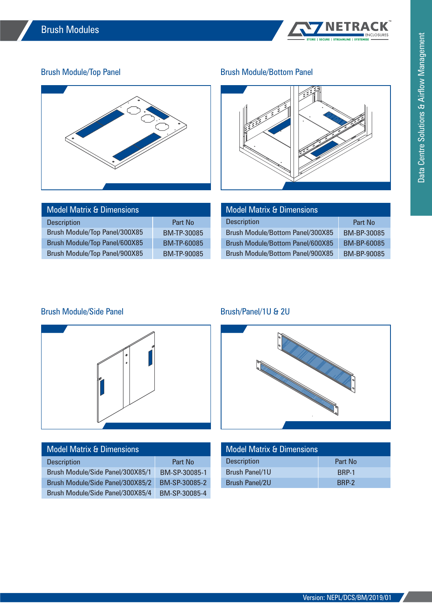

# Brush Module/Top Panel



| <b>Model Matrix &amp; Dimensions</b> |                    |  |  |
|--------------------------------------|--------------------|--|--|
| <b>Description</b>                   | Part No            |  |  |
| Brush Module/Top Panel/300X85        | BM-TP-30085        |  |  |
| Brush Module/Top Panel/600X85        | <b>BM-TP-60085</b> |  |  |
| Brush Module/Top Panel/900X85        | <b>BM-TP-90085</b> |  |  |

## Brush Module/Bottom Panel



| <b>Model Matrix &amp; Dimensions</b>    |                    |  |  |  |
|-----------------------------------------|--------------------|--|--|--|
| <b>Description</b>                      | Part No            |  |  |  |
| Brush Module/Bottom Panel/300X85        | BM-BP-30085        |  |  |  |
| <b>Brush Module/Bottom Panel/600X85</b> | BM-BP-60085        |  |  |  |
| Brush Module/Bottom Panel/900X85        | <b>BM-BP-90085</b> |  |  |  |

## Brush Module/Side Panel



| <b>Model Matrix &amp; Dimensions</b> |               | <b>Model Matrix &amp; Dimensions</b> |  |
|--------------------------------------|---------------|--------------------------------------|--|
| <b>Description</b>                   | Part No       | <b>Description</b>                   |  |
| Brush Module/Side Panel/300X85/1     | BM-SP-30085-1 | Brush Panel/1U                       |  |
| Brush Module/Side Panel/300X85/2     | BM-SP-30085-2 | <b>Brush Panel/2U</b>                |  |
| Brush Module/Side Panel/300X85/4     | BM-SP-30085-4 |                                      |  |

### Brush/Panel/1U & 2U



| <b>Model Matrix &amp; Dimensions</b> |              |  |
|--------------------------------------|--------------|--|
| <b>Description</b>                   | Part No      |  |
| Brush Panel/1U                       | <b>BRP-1</b> |  |
| <b>Brush Panel/2U</b>                | BRP-2        |  |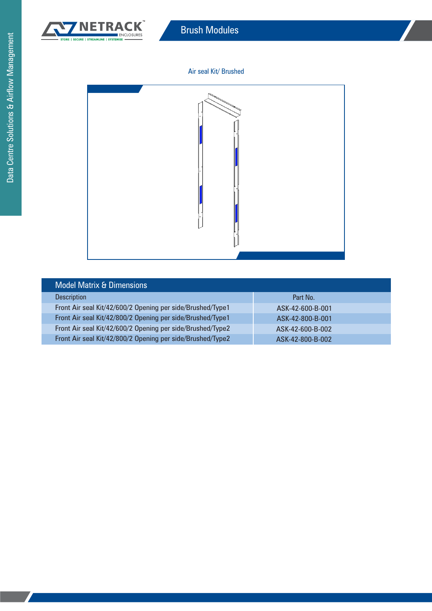

#### Air seal Kit/ Brushed



| <b>Model Matrix &amp; Dimensions</b>                       |                  |
|------------------------------------------------------------|------------------|
| <b>Description</b>                                         | Part No.         |
| Front Air seal Kit/42/600/2 Opening per side/Brushed/Type1 | ASK-42-600-B-001 |
| Front Air seal Kit/42/800/2 Opening per side/Brushed/Type1 | ASK-42-800-B-001 |
| Front Air seal Kit/42/600/2 Opening per side/Brushed/Type2 | ASK-42-600-B-002 |
| Front Air seal Kit/42/800/2 Opening per side/Brushed/Type2 | ASK-42-800-B-002 |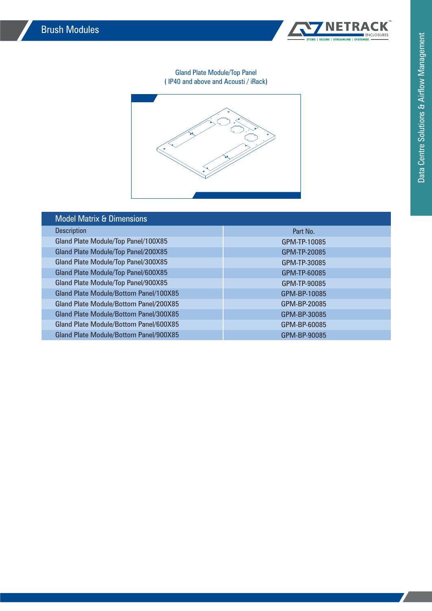

#### Gland Plate Module/Top Panel ( IP40 and above and Acousti / iRack)



| <b>Model Matrix &amp; Dimensions</b>   |              |
|----------------------------------------|--------------|
| <b>Description</b>                     | Part No.     |
| Gland Plate Module/Top Panel/100X85    | GPM-TP-10085 |
| Gland Plate Module/Top Panel/200X85    | GPM-TP-20085 |
| Gland Plate Module/Top Panel/300X85    | GPM-TP-30085 |
| Gland Plate Module/Top Panel/600X85    | GPM-TP-60085 |
| Gland Plate Module/Top Panel/900X85    | GPM-TP-90085 |
| Gland Plate Module/Bottom Panel/100X85 | GPM-BP-10085 |
| Gland Plate Module/Bottom Panel/200X85 | GPM-BP-20085 |
| Gland Plate Module/Bottom Panel/300X85 | GPM-BP-30085 |
| Gland Plate Module/Bottom Panel/600X85 | GPM-BP-60085 |
| Gland Plate Module/Bottom Panel/900X85 | GPM-BP-90085 |